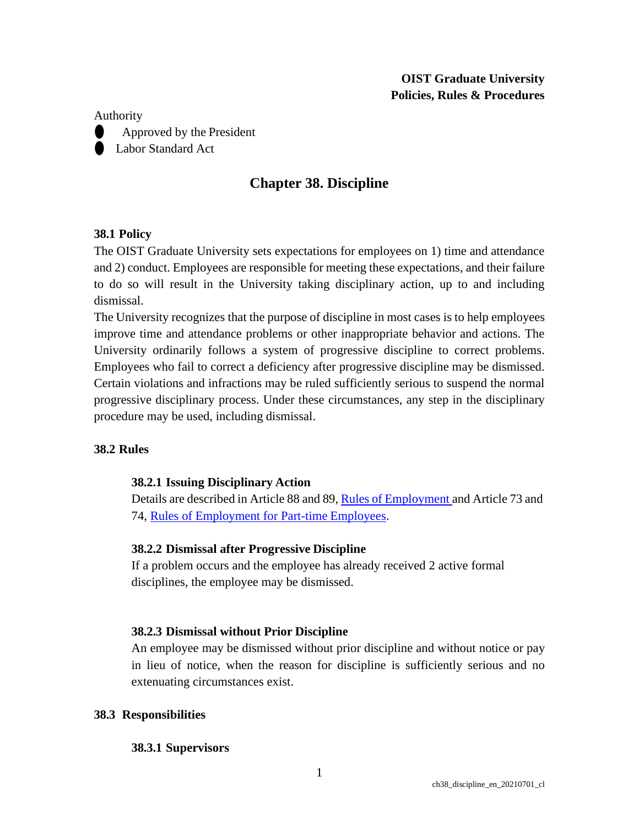## **OIST Graduate University Policies, Rules & Procedures**

#### Authority

⚫ Approved by the President ● Labor Standard Act

# **Chapter 38. Discipline**

## **38.1 Policy**

The OIST Graduate University sets expectations for employees on 1) time and attendance and 2) conduct. Employees are responsible for meeting these expectations, and their failure to do so will result in the University taking disciplinary action, up to and including dismissal.

The University recognizes that the purpose of discipline in most cases is to help employees improve time and attendance problems or other inappropriate behavior and actions. The University ordinarily follows a system of progressive discipline to correct problems. Employees who fail to correct a deficiency after progressive discipline may be dismissed. Certain violations and infractions may be ruled sufficiently serious to suspend the normal progressive disciplinary process. Under these circumstances, any step in the disciplinary procedure may be used, including dismissal.

## **38.2 Rules**

## **38.2.1 Issuing Disciplinary Action**

Details are described in Article 88 and 89, Rules of [Employment](https://groups.oist.jp/hr/regulations-guidelines) and Article 73 and 74, [Rules of Employment for Part-time](https://groups.oist.jp/hr/regulations-guidelines) Employees.

## **38.2.2 Dismissal after Progressive Discipline**

If a problem occurs and the employee has already received 2 active formal disciplines, the employee may be dismissed.

## **38.2.3 Dismissal without Prior Discipline**

An employee may be dismissed without prior discipline and without notice or pay in lieu of notice, when the reason for discipline is sufficiently serious and no extenuating circumstances exist.

## **38.3 Responsibilities**

#### **38.3.1 Supervisors**